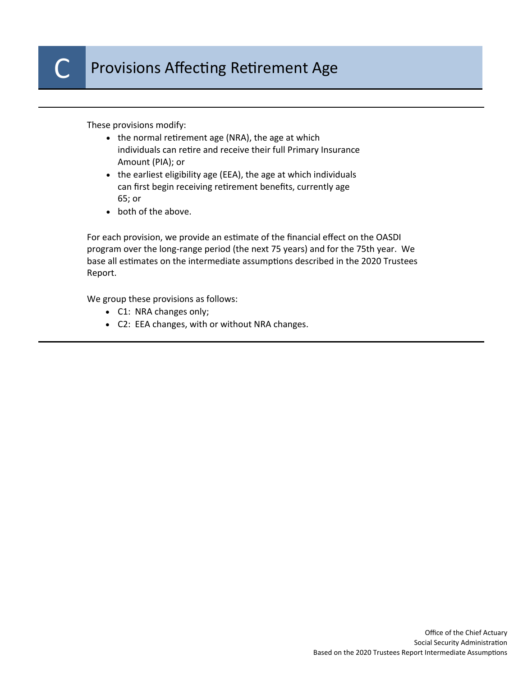These provisions modify:

- $\bullet$  the normal retirement age (NRA), the age at which individuals can retire and receive their full Primary Insurance Amount (PIA); or
- the earliest eligibility age (EEA), the age at which individuals can first begin receiving retirement benefits, currently age 65; or
- both of the above.

For each provision, we provide an estimate of the financial effect on the OASDI program over the long-range period (the next 75 years) and for the 75th year. We base all estimates on the intermediate assumptions described in the 2020 Trustees Report.

We group these provisions as follows:

- C1: NRA changes only;
- C2: EEA changes, with or without NRA changes.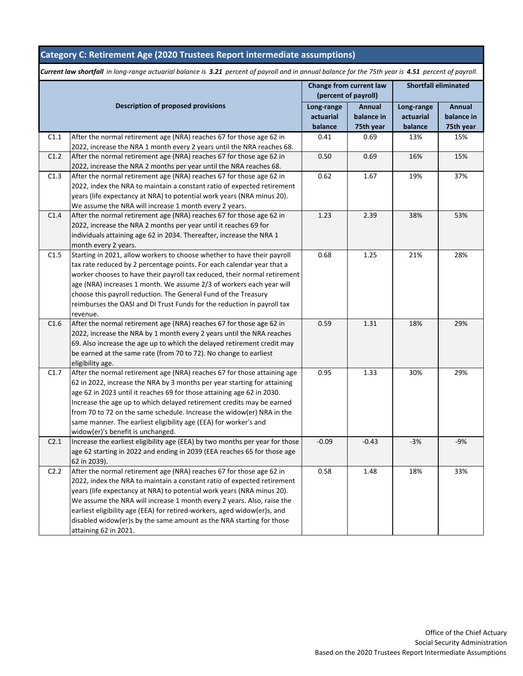## **Category C: Retirement Age (2020 Trustees Report intermediate assumptions)**

*Current law shortfall in long-range actuarial balance is 3.21 percent of payroll and in annual balance for the 75th year is 4.51 percent of payroll.*

| <b>Description of proposed provisions</b> |                                                                                                                                                | Change from current law<br>(percent of payroll) |                             | <b>Shortfall eliminated</b> |                      |
|-------------------------------------------|------------------------------------------------------------------------------------------------------------------------------------------------|-------------------------------------------------|-----------------------------|-----------------------------|----------------------|
|                                           |                                                                                                                                                | Long-range<br>actuarial                         | <b>Annual</b><br>balance in | Long-range<br>actuarial     | Annual<br>balance in |
|                                           |                                                                                                                                                | balance                                         | 75th year                   | balance                     | 75th year            |
| C1.1                                      | After the normal retirement age (NRA) reaches 67 for those age 62 in                                                                           | 0.41                                            | 0.69                        | 13%                         | 15%                  |
| C1.2                                      | 2022, increase the NRA 1 month every 2 years until the NRA reaches 68.<br>After the normal retirement age (NRA) reaches 67 for those age 62 in | 0.50                                            | 0.69                        | 16%                         | 15%                  |
|                                           | 2022, increase the NRA 2 months per year until the NRA reaches 68.                                                                             |                                                 |                             |                             |                      |
| C1.3                                      | After the normal retirement age (NRA) reaches 67 for those age 62 in                                                                           | 0.62                                            | 1.67                        | 19%                         | 37%                  |
|                                           | 2022, index the NRA to maintain a constant ratio of expected retirement                                                                        |                                                 |                             |                             |                      |
|                                           | years (life expectancy at NRA) to potential work years (NRA minus 20).                                                                         |                                                 |                             |                             |                      |
|                                           | We assume the NRA will increase 1 month every 2 years.                                                                                         |                                                 |                             |                             |                      |
| C1.4                                      | After the normal retirement age (NRA) reaches 67 for those age 62 in                                                                           | 1.23                                            | 2.39                        | 38%                         | 53%                  |
|                                           | 2022, increase the NRA 2 months per year until it reaches 69 for                                                                               |                                                 |                             |                             |                      |
|                                           | individuals attaining age 62 in 2034. Thereafter, increase the NRA 1                                                                           |                                                 |                             |                             |                      |
|                                           | month every 2 years.                                                                                                                           |                                                 |                             |                             |                      |
| C1.5                                      | Starting in 2021, allow workers to choose whether to have their payroll                                                                        | 0.68                                            | 1.25                        | 21%                         | 28%                  |
|                                           | tax rate reduced by 2 percentage points. For each calendar year that a                                                                         |                                                 |                             |                             |                      |
|                                           | worker chooses to have their payroll tax reduced, their normal retirement                                                                      |                                                 |                             |                             |                      |
|                                           | age (NRA) increases 1 month. We assume 2/3 of workers each year will                                                                           |                                                 |                             |                             |                      |
|                                           | choose this payroll reduction. The General Fund of the Treasury                                                                                |                                                 |                             |                             |                      |
|                                           | reimburses the OASI and DI Trust Funds for the reduction in payroll tax                                                                        |                                                 |                             |                             |                      |
|                                           | revenue.                                                                                                                                       |                                                 |                             |                             |                      |
| C1.6                                      | After the normal retirement age (NRA) reaches 67 for those age 62 in                                                                           | 0.59                                            | 1.31                        | 18%                         | 29%                  |
|                                           | 2022, increase the NRA by 1 month every 2 years until the NRA reaches                                                                          |                                                 |                             |                             |                      |
|                                           | 69. Also increase the age up to which the delayed retirement credit may                                                                        |                                                 |                             |                             |                      |
|                                           | be earned at the same rate (from 70 to 72). No change to earliest                                                                              |                                                 |                             |                             |                      |
|                                           | eligibility age.                                                                                                                               |                                                 |                             |                             |                      |
| C1.7                                      | After the normal retirement age (NRA) reaches 67 for those attaining age                                                                       | 0.95                                            | 1.33                        | 30%                         | 29%                  |
|                                           | 62 in 2022, increase the NRA by 3 months per year starting for attaining                                                                       |                                                 |                             |                             |                      |
|                                           | age 62 in 2023 until it reaches 69 for those attaining age 62 in 2030.                                                                         |                                                 |                             |                             |                      |
|                                           | Increase the age up to which delayed retirement credits may be earned                                                                          |                                                 |                             |                             |                      |
|                                           | from 70 to 72 on the same schedule. Increase the widow(er) NRA in the                                                                          |                                                 |                             |                             |                      |
|                                           | same manner. The earliest eligibility age (EEA) for worker's and                                                                               |                                                 |                             |                             |                      |
|                                           | widow(er)'s benefit is unchanged.<br>Increase the earliest eligibility age (EEA) by two months per year for those                              | $-0.09$                                         | $-0.43$                     |                             | $-9%$                |
| C2.1                                      |                                                                                                                                                |                                                 |                             | $-3%$                       |                      |
|                                           | age 62 starting in 2022 and ending in 2039 (EEA reaches 65 for those age                                                                       |                                                 |                             |                             |                      |
| C <sub>2.2</sub>                          | 62 in 2039).<br>After the normal retirement age (NRA) reaches 67 for those age 62 in                                                           | 0.58                                            | 1.48                        | 18%                         | 33%                  |
|                                           | 2022, index the NRA to maintain a constant ratio of expected retirement                                                                        |                                                 |                             |                             |                      |
|                                           | years (life expectancy at NRA) to potential work years (NRA minus 20).                                                                         |                                                 |                             |                             |                      |
|                                           | We assume the NRA will increase 1 month every 2 years. Also, raise the                                                                         |                                                 |                             |                             |                      |
|                                           | earliest eligibility age (EEA) for retired-workers, aged widow(er)s, and                                                                       |                                                 |                             |                             |                      |
|                                           | disabled widow(er)s by the same amount as the NRA starting for those                                                                           |                                                 |                             |                             |                      |
|                                           | attaining 62 in 2021.                                                                                                                          |                                                 |                             |                             |                      |